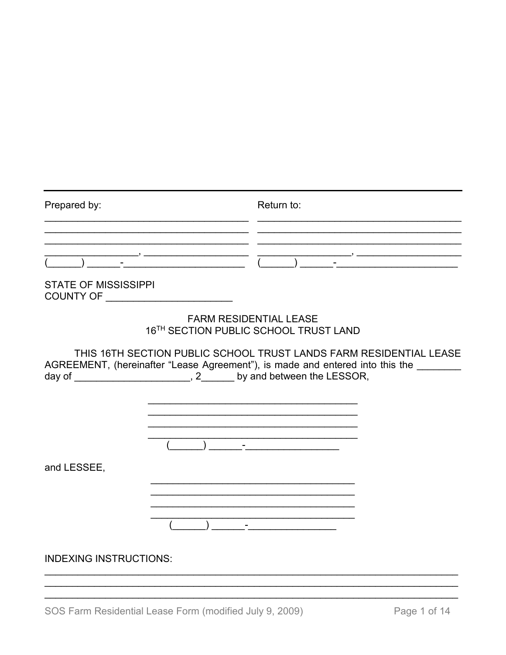| Prepared by:                  | Return to:                                                                                                                                                                                                                            |
|-------------------------------|---------------------------------------------------------------------------------------------------------------------------------------------------------------------------------------------------------------------------------------|
|                               |                                                                                                                                                                                                                                       |
| <b>STATE OF MISSISSIPPI</b>   |                                                                                                                                                                                                                                       |
|                               | <b>FARM RESIDENTIAL LEASE</b><br>16TH SECTION PUBLIC SCHOOL TRUST LAND                                                                                                                                                                |
|                               | THIS 16TH SECTION PUBLIC SCHOOL TRUST LANDS FARM RESIDENTIAL LEASE<br>AGREEMENT, (hereinafter "Lease Agreement"), is made and entered into this the _______<br>day of _________________________, 2________ by and between the LESSOR, |
| and LESSEE,                   |                                                                                                                                                                                                                                       |
|                               | ) and the contract of the contract of $\sim$                                                                                                                                                                                          |
| <b>INDEXING INSTRUCTIONS:</b> |                                                                                                                                                                                                                                       |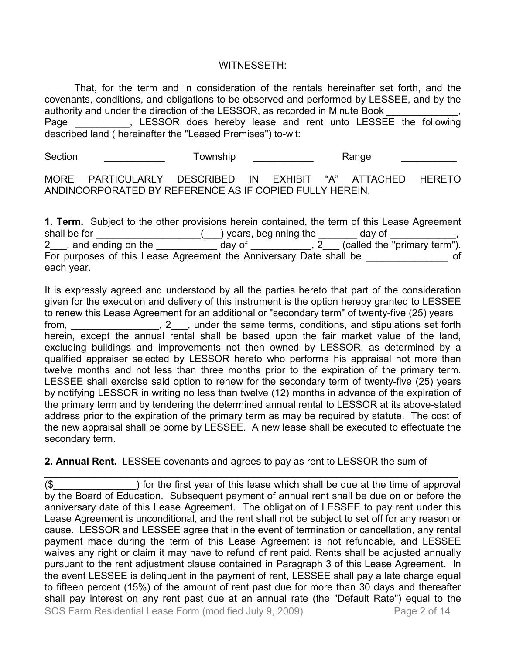## WITNESSETH:

That, for the term and in consideration of the rentals hereinafter set forth, and the covenants, conditions, and obligations to be observed and performed by LESSEE, and by the authority and under the direction of the LESSOR, as recorded in Minute Book Page \_\_\_\_\_\_\_\_\_, LESSOR does hereby lease and rent unto LESSEE the following described land ( hereinafter the "Leased Premises") to-wit:

Section \_\_\_\_\_\_\_\_\_\_\_\_\_ Township \_\_\_\_\_\_\_\_\_\_\_ Range \_\_\_\_\_\_\_\_\_\_\_

MORE PARTICULARLY DESCRIBED IN EXHIBIT "A" ATTACHED HERETO ANDINCORPORATED BY REFERENCE AS IF COPIED FULLY HEREIN.

**1. Term.** Subject to the other provisions herein contained, the term of this Lease Agreement shall be for \_\_\_\_\_\_\_\_\_\_\_\_\_\_\_\_\_\_\_\_\_\_(\_\_\_) years, beginning the \_\_\_\_\_\_\_ day of \_<br>2\_\_\_, and ending on the \_\_\_\_\_\_\_\_\_\_\_\_\_\_ day of \_\_\_\_\_\_\_\_\_\_\_, 2\_\_\_ (called the day of  $\overline{\phantom{a}}$ ,  $\overline{\phantom{a}}$  (called the "primary term"). For purposes of this Lease Agreement the Anniversary Date shall be  $\overline{\phantom{a}}$  of each year.

It is expressly agreed and understood by all the parties hereto that part of the consideration given for the execution and delivery of this instrument is the option hereby granted to LESSEE to renew this Lease Agreement for an additional or "secondary term" of twenty-five (25) years from, the same terms, conditions, and stipulations set forth herein, except the annual rental shall be based upon the fair market value of the land, excluding buildings and improvements not then owned by LESSOR, as determined by a qualified appraiser selected by LESSOR hereto who performs his appraisal not more than twelve months and not less than three months prior to the expiration of the primary term. LESSEE shall exercise said option to renew for the secondary term of twenty-five (25) years by notifying LESSOR in writing no less than twelve (12) months in advance of the expiration of the primary term and by tendering the determined annual rental to LESSOR at its above-stated address prior to the expiration of the primary term as may be required by statute. The cost of the new appraisal shall be borne by LESSEE. A new lease shall be executed to effectuate the secondary term.

**2. Annual Rent.** LESSEE covenants and agrees to pay as rent to LESSOR the sum of

SOS Farm Residential Lease Form (modified July 9, 2009) Page 2 of 14 \_\_\_\_\_\_\_\_\_\_\_\_\_\_\_\_\_\_\_\_\_\_\_\_\_\_\_\_\_\_\_\_\_\_\_\_\_\_\_\_\_\_\_\_\_\_\_\_\_\_\_\_\_\_\_\_\_\_\_\_\_\_\_\_\_\_\_\_\_\_\_\_\_\_\_ (\$\_\_\_\_\_\_\_\_\_\_\_\_\_\_\_) for the first year of this lease which shall be due at the time of approval by the Board of Education. Subsequent payment of annual rent shall be due on or before the anniversary date of this Lease Agreement. The obligation of LESSEE to pay rent under this Lease Agreement is unconditional, and the rent shall not be subject to set off for any reason or cause. LESSOR and LESSEE agree that in the event of termination or cancellation, any rental payment made during the term of this Lease Agreement is not refundable, and LESSEE waives any right or claim it may have to refund of rent paid. Rents shall be adjusted annually pursuant to the rent adjustment clause contained in Paragraph 3 of this Lease Agreement. In the event LESSEE is delinquent in the payment of rent, LESSEE shall pay a late charge equal to fifteen percent (15%) of the amount of rent past due for more than 30 days and thereafter shall pay interest on any rent past due at an annual rate (the "Default Rate") equal to the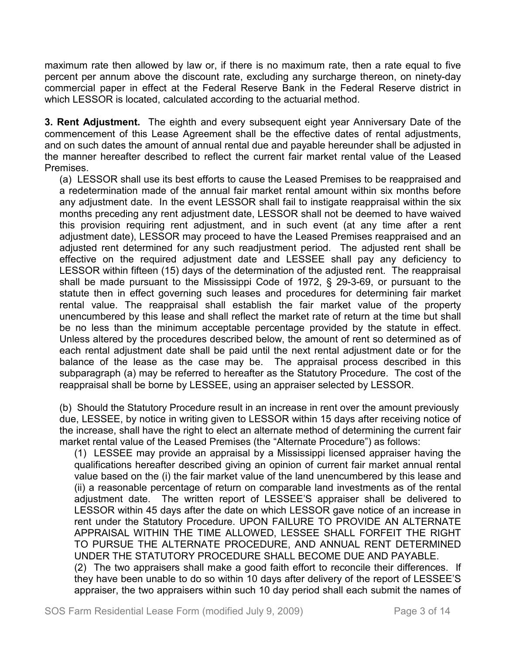maximum rate then allowed by law or, if there is no maximum rate, then a rate equal to five percent per annum above the discount rate, excluding any surcharge thereon, on ninety-day commercial paper in effect at the Federal Reserve Bank in the Federal Reserve district in which LESSOR is located, calculated according to the actuarial method.

**3. Rent Adjustment.** The eighth and every subsequent eight year Anniversary Date of the commencement of this Lease Agreement shall be the effective dates of rental adjustments, and on such dates the amount of annual rental due and payable hereunder shall be adjusted in the manner hereafter described to reflect the current fair market rental value of the Leased Premises.

(a) LESSOR shall use its best efforts to cause the Leased Premises to be reappraised and a redetermination made of the annual fair market rental amount within six months before any adjustment date. In the event LESSOR shall fail to instigate reappraisal within the six months preceding any rent adjustment date, LESSOR shall not be deemed to have waived this provision requiring rent adjustment, and in such event (at any time after a rent adjustment date), LESSOR may proceed to have the Leased Premises reappraised and an adjusted rent determined for any such readjustment period. The adjusted rent shall be effective on the required adjustment date and LESSEE shall pay any deficiency to LESSOR within fifteen (15) days of the determination of the adjusted rent. The reappraisal shall be made pursuant to the Mississippi Code of 1972, § 29-3-69, or pursuant to the statute then in effect governing such leases and procedures for determining fair market rental value. The reappraisal shall establish the fair market value of the property unencumbered by this lease and shall reflect the market rate of return at the time but shall be no less than the minimum acceptable percentage provided by the statute in effect. Unless altered by the procedures described below, the amount of rent so determined as of each rental adjustment date shall be paid until the next rental adjustment date or for the balance of the lease as the case may be. The appraisal process described in this subparagraph (a) may be referred to hereafter as the Statutory Procedure. The cost of the reappraisal shall be borne by LESSEE, using an appraiser selected by LESSOR.

(b) Should the Statutory Procedure result in an increase in rent over the amount previously due, LESSEE, by notice in writing given to LESSOR within 15 days after receiving notice of the increase, shall have the right to elect an alternate method of determining the current fair market rental value of the Leased Premises (the "Alternate Procedure") as follows:

(1) LESSEE may provide an appraisal by a Mississippi licensed appraiser having the qualifications hereafter described giving an opinion of current fair market annual rental value based on the (i) the fair market value of the land unencumbered by this lease and (ii) a reasonable percentage of return on comparable land investments as of the rental adjustment date. The written report of LESSEE'S appraiser shall be delivered to LESSOR within 45 days after the date on which LESSOR gave notice of an increase in rent under the Statutory Procedure. UPON FAILURE TO PROVIDE AN ALTERNATE APPRAISAL WITHIN THE TIME ALLOWED, LESSEE SHALL FORFEIT THE RIGHT TO PURSUE THE ALTERNATE PROCEDURE, AND ANNUAL RENT DETERMINED UNDER THE STATUTORY PROCEDURE SHALL BECOME DUE AND PAYABLE. (2) The two appraisers shall make a good faith effort to reconcile their differences. If they have been unable to do so within 10 days after delivery of the report of LESSEE'S

appraiser, the two appraisers within such 10 day period shall each submit the names of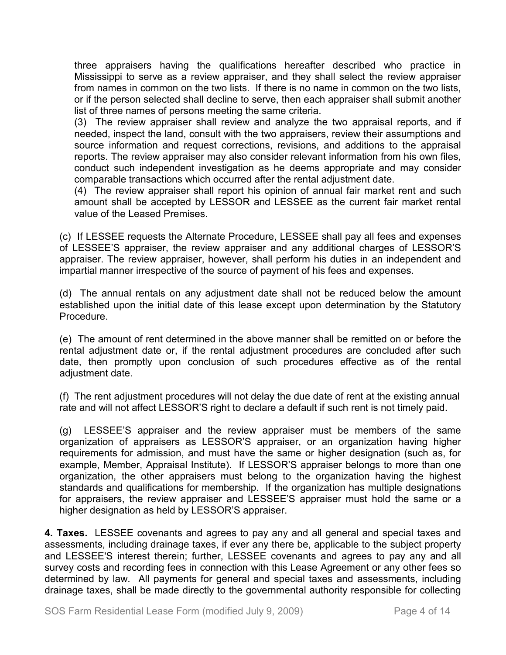three appraisers having the qualifications hereafter described who practice in Mississippi to serve as a review appraiser, and they shall select the review appraiser from names in common on the two lists. If there is no name in common on the two lists, or if the person selected shall decline to serve, then each appraiser shall submit another list of three names of persons meeting the same criteria.

(3) The review appraiser shall review and analyze the two appraisal reports, and if needed, inspect the land, consult with the two appraisers, review their assumptions and source information and request corrections, revisions, and additions to the appraisal reports. The review appraiser may also consider relevant information from his own files, conduct such independent investigation as he deems appropriate and may consider comparable transactions which occurred after the rental adjustment date.

(4) The review appraiser shall report his opinion of annual fair market rent and such amount shall be accepted by LESSOR and LESSEE as the current fair market rental value of the Leased Premises.

(c) If LESSEE requests the Alternate Procedure, LESSEE shall pay all fees and expenses of LESSEE'S appraiser, the review appraiser and any additional charges of LESSOR'S appraiser. The review appraiser, however, shall perform his duties in an independent and impartial manner irrespective of the source of payment of his fees and expenses.

(d) The annual rentals on any adjustment date shall not be reduced below the amount established upon the initial date of this lease except upon determination by the Statutory Procedure.

(e) The amount of rent determined in the above manner shall be remitted on or before the rental adjustment date or, if the rental adjustment procedures are concluded after such date, then promptly upon conclusion of such procedures effective as of the rental adjustment date.

(f) The rent adjustment procedures will not delay the due date of rent at the existing annual rate and will not affect LESSOR'S right to declare a default if such rent is not timely paid.

(g) LESSEE'S appraiser and the review appraiser must be members of the same organization of appraisers as LESSOR'S appraiser, or an organization having higher requirements for admission, and must have the same or higher designation (such as, for example, Member, Appraisal Institute). If LESSOR'S appraiser belongs to more than one organization, the other appraisers must belong to the organization having the highest standards and qualifications for membership. If the organization has multiple designations for appraisers, the review appraiser and LESSEE'S appraiser must hold the same or a higher designation as held by LESSOR'S appraiser.

**4. Taxes.** LESSEE covenants and agrees to pay any and all general and special taxes and assessments, including drainage taxes, if ever any there be, applicable to the subject property and LESSEE'S interest therein; further, LESSEE covenants and agrees to pay any and all survey costs and recording fees in connection with this Lease Agreement or any other fees so determined by law. All payments for general and special taxes and assessments, including drainage taxes, shall be made directly to the governmental authority responsible for collecting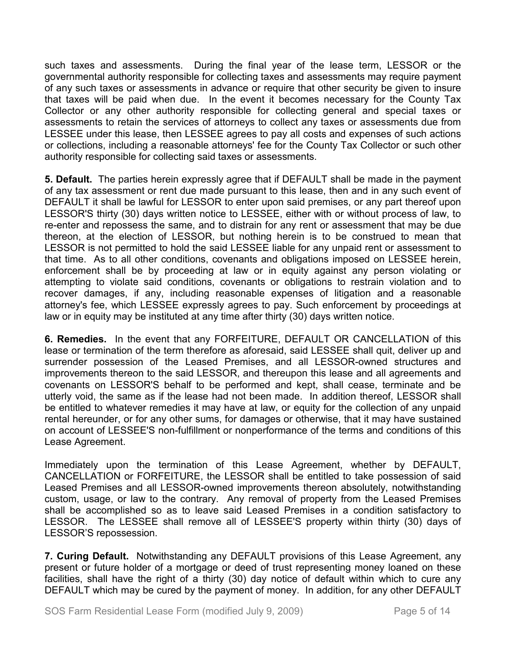such taxes and assessments. During the final year of the lease term, LESSOR or the governmental authority responsible for collecting taxes and assessments may require payment of any such taxes or assessments in advance or require that other security be given to insure that taxes will be paid when due. In the event it becomes necessary for the County Tax Collector or any other authority responsible for collecting general and special taxes or assessments to retain the services of attorneys to collect any taxes or assessments due from LESSEE under this lease, then LESSEE agrees to pay all costs and expenses of such actions or collections, including a reasonable attorneys' fee for the County Tax Collector or such other authority responsible for collecting said taxes or assessments.

**5. Default.** The parties herein expressly agree that if DEFAULT shall be made in the payment of any tax assessment or rent due made pursuant to this lease, then and in any such event of DEFAULT it shall be lawful for LESSOR to enter upon said premises, or any part thereof upon LESSOR'S thirty (30) days written notice to LESSEE, either with or without process of law, to re-enter and repossess the same, and to distrain for any rent or assessment that may be due thereon, at the election of LESSOR, but nothing herein is to be construed to mean that LESSOR is not permitted to hold the said LESSEE liable for any unpaid rent or assessment to that time. As to all other conditions, covenants and obligations imposed on LESSEE herein, enforcement shall be by proceeding at law or in equity against any person violating or attempting to violate said conditions, covenants or obligations to restrain violation and to recover damages, if any, including reasonable expenses of litigation and a reasonable attorney's fee, which LESSEE expressly agrees to pay. Such enforcement by proceedings at law or in equity may be instituted at any time after thirty (30) days written notice.

**6. Remedies.** In the event that any FORFEITURE, DEFAULT OR CANCELLATION of this lease or termination of the term therefore as aforesaid, said LESSEE shall quit, deliver up and surrender possession of the Leased Premises, and all LESSOR-owned structures and improvements thereon to the said LESSOR, and thereupon this lease and all agreements and covenants on LESSOR'S behalf to be performed and kept, shall cease, terminate and be utterly void, the same as if the lease had not been made. In addition thereof, LESSOR shall be entitled to whatever remedies it may have at law, or equity for the collection of any unpaid rental hereunder, or for any other sums, for damages or otherwise, that it may have sustained on account of LESSEE'S non-fulfillment or nonperformance of the terms and conditions of this Lease Agreement.

Immediately upon the termination of this Lease Agreement, whether by DEFAULT, CANCELLATION or FORFEITURE, the LESSOR shall be entitled to take possession of said Leased Premises and all LESSOR-owned improvements thereon absolutely, notwithstanding custom, usage, or law to the contrary. Any removal of property from the Leased Premises shall be accomplished so as to leave said Leased Premises in a condition satisfactory to LESSOR. The LESSEE shall remove all of LESSEE'S property within thirty (30) days of LESSOR'S repossession.

**7. Curing Default.** Notwithstanding any DEFAULT provisions of this Lease Agreement, any present or future holder of a mortgage or deed of trust representing money loaned on these facilities, shall have the right of a thirty (30) day notice of default within which to cure any DEFAULT which may be cured by the payment of money. In addition, for any other DEFAULT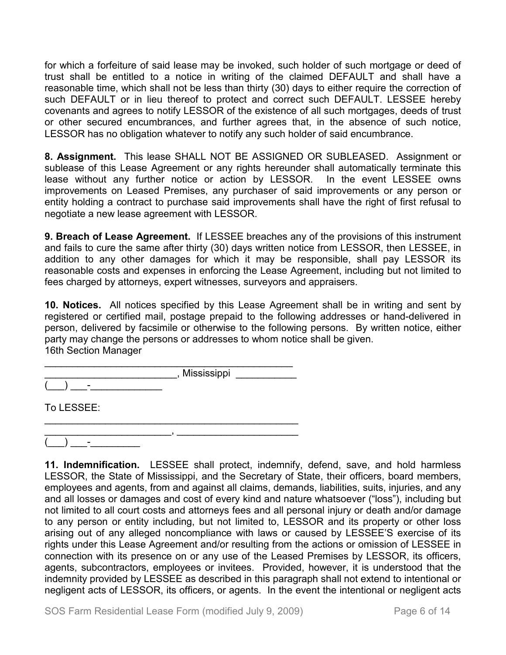for which a forfeiture of said lease may be invoked, such holder of such mortgage or deed of trust shall be entitled to a notice in writing of the claimed DEFAULT and shall have a reasonable time, which shall not be less than thirty (30) days to either require the correction of such DEFAULT or in lieu thereof to protect and correct such DEFAULT. LESSEE hereby covenants and agrees to notify LESSOR of the existence of all such mortgages, deeds of trust or other secured encumbrances, and further agrees that, in the absence of such notice, LESSOR has no obligation whatever to notify any such holder of said encumbrance.

**8. Assignment.** This lease SHALL NOT BE ASSIGNED OR SUBLEASED. Assignment or sublease of this Lease Agreement or any rights hereunder shall automatically terminate this lease without any further notice or action by LESSOR. In the event LESSEE owns improvements on Leased Premises, any purchaser of said improvements or any person or entity holding a contract to purchase said improvements shall have the right of first refusal to negotiate a new lease agreement with LESSOR.

**9. Breach of Lease Agreement.** If LESSEE breaches any of the provisions of this instrument and fails to cure the same after thirty (30) days written notice from LESSOR, then LESSEE, in addition to any other damages for which it may be responsible, shall pay LESSOR its reasonable costs and expenses in enforcing the Lease Agreement, including but not limited to fees charged by attorneys, expert witnesses, surveyors and appraisers.

**10. Notices.** All notices specified by this Lease Agreement shall be in writing and sent by registered or certified mail, postage prepaid to the following addresses or hand-delivered in person, delivered by facsimile or otherwise to the following persons. By written notice, either party may change the persons or addresses to whom notice shall be given. 16th Section Manager

| Mississippi |  |
|-------------|--|
|             |  |

\_\_\_\_\_\_\_\_\_\_\_\_\_\_\_\_\_\_\_\_\_\_\_\_\_\_\_\_\_\_\_\_\_\_\_\_\_\_\_\_\_\_\_\_\_\_

To LESSEE:

\_\_\_\_\_\_\_\_\_\_\_\_\_\_\_\_\_\_\_\_\_\_\_, \_\_\_\_\_\_\_\_\_\_\_\_\_\_\_\_\_\_\_\_\_\_  $(\_\_) \_\_$  .

**11. Indemnification.** LESSEE shall protect, indemnify, defend, save, and hold harmless LESSOR, the State of Mississippi, and the Secretary of State, their officers, board members, employees and agents, from and against all claims, demands, liabilities, suits, injuries, and any and all losses or damages and cost of every kind and nature whatsoever ("loss"), including but not limited to all court costs and attorneys fees and all personal injury or death and/or damage to any person or entity including, but not limited to, LESSOR and its property or other loss arising out of any alleged noncompliance with laws or caused by LESSEE'S exercise of its rights under this Lease Agreement and/or resulting from the actions or omission of LESSEE in connection with its presence on or any use of the Leased Premises by LESSOR, its officers, agents, subcontractors, employees or invitees. Provided, however, it is understood that the indemnity provided by LESSEE as described in this paragraph shall not extend to intentional or negligent acts of LESSOR, its officers, or agents. In the event the intentional or negligent acts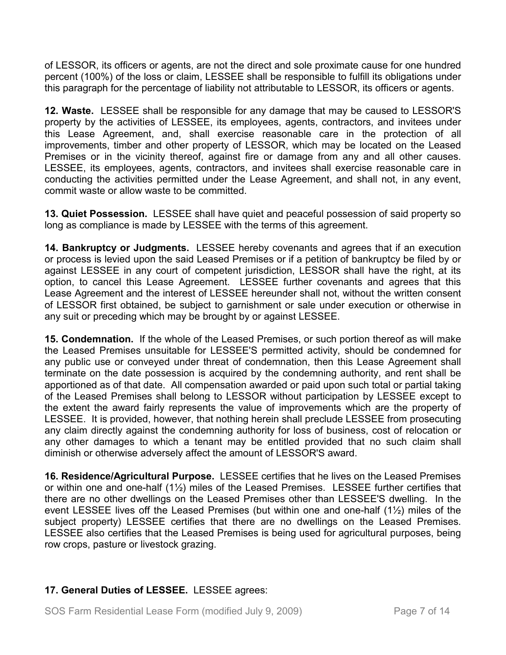of LESSOR, its officers or agents, are not the direct and sole proximate cause for one hundred percent (100%) of the loss or claim, LESSEE shall be responsible to fulfill its obligations under this paragraph for the percentage of liability not attributable to LESSOR, its officers or agents.

**12. Waste.** LESSEE shall be responsible for any damage that may be caused to LESSOR'S property by the activities of LESSEE, its employees, agents, contractors, and invitees under this Lease Agreement, and, shall exercise reasonable care in the protection of all improvements, timber and other property of LESSOR, which may be located on the Leased Premises or in the vicinity thereof, against fire or damage from any and all other causes. LESSEE, its employees, agents, contractors, and invitees shall exercise reasonable care in conducting the activities permitted under the Lease Agreement, and shall not, in any event, commit waste or allow waste to be committed.

**13. Quiet Possession.** LESSEE shall have quiet and peaceful possession of said property so long as compliance is made by LESSEE with the terms of this agreement.

**14. Bankruptcy or Judgments.** LESSEE hereby covenants and agrees that if an execution or process is levied upon the said Leased Premises or if a petition of bankruptcy be filed by or against LESSEE in any court of competent jurisdiction, LESSOR shall have the right, at its option, to cancel this Lease Agreement. LESSEE further covenants and agrees that this Lease Agreement and the interest of LESSEE hereunder shall not, without the written consent of LESSOR first obtained, be subject to garnishment or sale under execution or otherwise in any suit or preceding which may be brought by or against LESSEE.

**15. Condemnation.** If the whole of the Leased Premises, or such portion thereof as will make the Leased Premises unsuitable for LESSEE'S permitted activity, should be condemned for any public use or conveyed under threat of condemnation, then this Lease Agreement shall terminate on the date possession is acquired by the condemning authority, and rent shall be apportioned as of that date. All compensation awarded or paid upon such total or partial taking of the Leased Premises shall belong to LESSOR without participation by LESSEE except to the extent the award fairly represents the value of improvements which are the property of LESSEE. It is provided, however, that nothing herein shall preclude LESSEE from prosecuting any claim directly against the condemning authority for loss of business, cost of relocation or any other damages to which a tenant may be entitled provided that no such claim shall diminish or otherwise adversely affect the amount of LESSOR'S award.

**16. Residence/Agricultural Purpose.** LESSEE certifies that he lives on the Leased Premises or within one and one-half (1½) miles of the Leased Premises. LESSEE further certifies that there are no other dwellings on the Leased Premises other than LESSEE'S dwelling. In the event LESSEE lives off the Leased Premises (but within one and one-half (1½) miles of the subject property) LESSEE certifies that there are no dwellings on the Leased Premises. LESSEE also certifies that the Leased Premises is being used for agricultural purposes, being row crops, pasture or livestock grazing.

# **17. General Duties of LESSEE.** LESSEE agrees: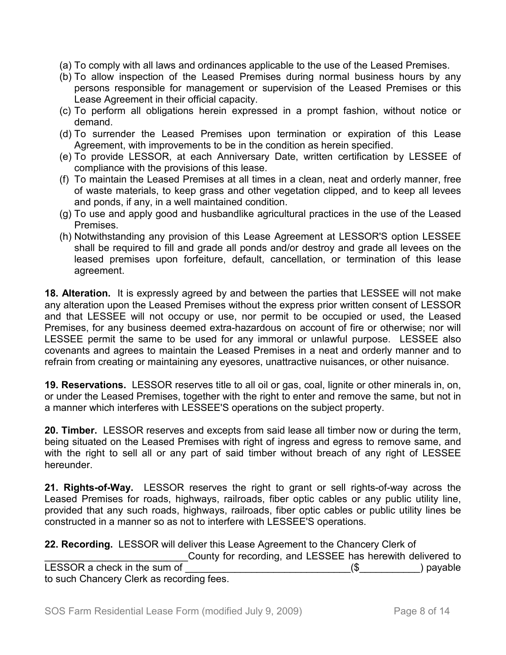- (a) To comply with all laws and ordinances applicable to the use of the Leased Premises.
- (b) To allow inspection of the Leased Premises during normal business hours by any persons responsible for management or supervision of the Leased Premises or this Lease Agreement in their official capacity.
- (c) To perform all obligations herein expressed in a prompt fashion, without notice or demand.
- (d) To surrender the Leased Premises upon termination or expiration of this Lease Agreement, with improvements to be in the condition as herein specified.
- (e) To provide LESSOR, at each Anniversary Date, written certification by LESSEE of compliance with the provisions of this lease.
- (f) To maintain the Leased Premises at all times in a clean, neat and orderly manner, free of waste materials, to keep grass and other vegetation clipped, and to keep all levees and ponds, if any, in a well maintained condition.
- (g) To use and apply good and husbandlike agricultural practices in the use of the Leased **Premises**
- (h) Notwithstanding any provision of this Lease Agreement at LESSOR'S option LESSEE shall be required to fill and grade all ponds and/or destroy and grade all levees on the leased premises upon forfeiture, default, cancellation, or termination of this lease agreement.

**18. Alteration.** It is expressly agreed by and between the parties that LESSEE will not make any alteration upon the Leased Premises without the express prior written consent of LESSOR and that LESSEE will not occupy or use, nor permit to be occupied or used, the Leased Premises, for any business deemed extra-hazardous on account of fire or otherwise; nor will LESSEE permit the same to be used for any immoral or unlawful purpose. LESSEE also covenants and agrees to maintain the Leased Premises in a neat and orderly manner and to refrain from creating or maintaining any eyesores, unattractive nuisances, or other nuisance.

**19. Reservations.** LESSOR reserves title to all oil or gas, coal, lignite or other minerals in, on, or under the Leased Premises, together with the right to enter and remove the same, but not in a manner which interferes with LESSEE'S operations on the subject property.

**20. Timber.** LESSOR reserves and excepts from said lease all timber now or during the term, being situated on the Leased Premises with right of ingress and egress to remove same, and with the right to sell all or any part of said timber without breach of any right of LESSEE hereunder.

**21. Rights-of-Way.** LESSOR reserves the right to grant or sell rights-of-way across the Leased Premises for roads, highways, railroads, fiber optic cables or any public utility line, provided that any such roads, highways, railroads, fiber optic cables or public utility lines be constructed in a manner so as not to interfere with LESSEE'S operations.

|                                           | 22. Recording. LESSOR will deliver this Lease Agreement to the Chancery Clerk of |
|-------------------------------------------|----------------------------------------------------------------------------------|
|                                           | County for recording, and LESSEE has herewith delivered to                       |
| LESSOR a check in the sum of              | ) payable                                                                        |
| to such Chancery Clerk as recording fees. |                                                                                  |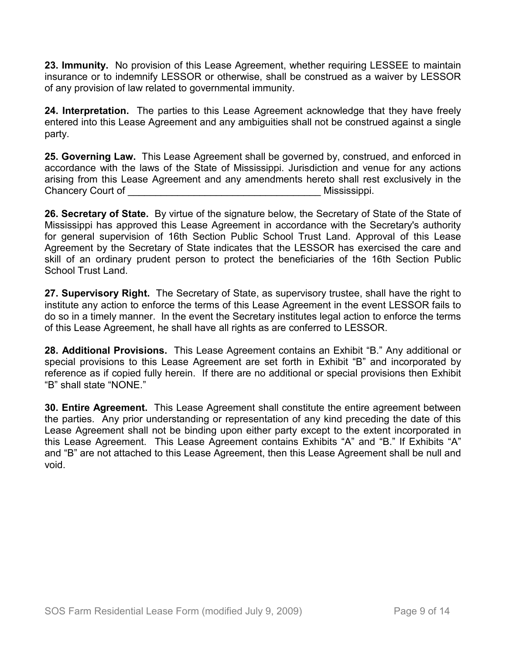**23. Immunity.** No provision of this Lease Agreement, whether requiring LESSEE to maintain insurance or to indemnify LESSOR or otherwise, shall be construed as a waiver by LESSOR of any provision of law related to governmental immunity.

**24. Interpretation.** The parties to this Lease Agreement acknowledge that they have freely entered into this Lease Agreement and any ambiguities shall not be construed against a single party.

**25. Governing Law.** This Lease Agreement shall be governed by, construed, and enforced in accordance with the laws of the State of Mississippi. Jurisdiction and venue for any actions arising from this Lease Agreement and any amendments hereto shall rest exclusively in the Chancery Court of **Exercise 2 and Secure 2 and Secure 2 and Security Court Chancery Court of American** 

**26. Secretary of State.** By virtue of the signature below, the Secretary of State of the State of Mississippi has approved this Lease Agreement in accordance with the Secretary's authority for general supervision of 16th Section Public School Trust Land. Approval of this Lease Agreement by the Secretary of State indicates that the LESSOR has exercised the care and skill of an ordinary prudent person to protect the beneficiaries of the 16th Section Public School Trust Land.

**27. Supervisory Right.** The Secretary of State, as supervisory trustee, shall have the right to institute any action to enforce the terms of this Lease Agreement in the event LESSOR fails to do so in a timely manner. In the event the Secretary institutes legal action to enforce the terms of this Lease Agreement, he shall have all rights as are conferred to LESSOR.

**28. Additional Provisions.** This Lease Agreement contains an Exhibit "B." Any additional or special provisions to this Lease Agreement are set forth in Exhibit "B" and incorporated by reference as if copied fully herein. If there are no additional or special provisions then Exhibit "B" shall state "NONE."

**30. Entire Agreement.** This Lease Agreement shall constitute the entire agreement between the parties. Any prior understanding or representation of any kind preceding the date of this Lease Agreement shall not be binding upon either party except to the extent incorporated in this Lease Agreement. This Lease Agreement contains Exhibits "A" and "B." If Exhibits "A" and "B" are not attached to this Lease Agreement, then this Lease Agreement shall be null and void.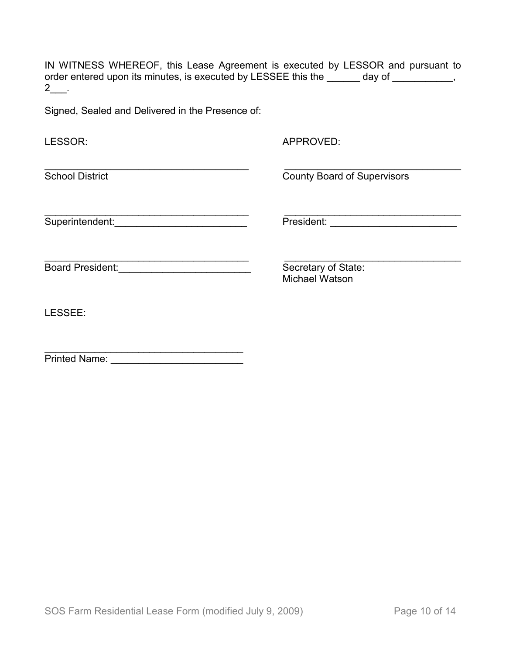IN WITNESS WHEREOF, this Lease Agreement is executed by LESSOR and pursuant to order entered upon its minutes, is executed by LESSEE this the \_\_\_\_\_\_ day of \_\_\_\_\_\_\_\_\_,  $2$ \_\_.

Signed, Sealed and Delivered in the Presence of:

| LESSOR:                 | APPROVED:                                    |
|-------------------------|----------------------------------------------|
| <b>School District</b>  | <b>County Board of Supervisors</b>           |
| Superintendent:         | President:                                   |
| <b>Board President:</b> | Secretary of State:<br><b>Michael Watson</b> |
| LESSEE:                 |                                              |
| <b>Printed Name:</b>    |                                              |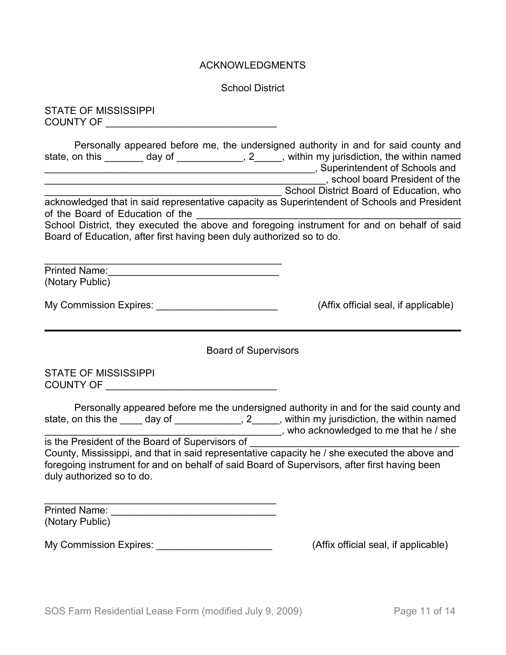#### ACKNOWLEDGMENTS

School District

STATE OF MISSISSIPPI COUNTY OF \_\_\_\_\_\_\_\_\_\_\_\_\_\_\_\_\_\_\_\_\_\_\_\_\_\_\_\_\_\_\_

| Personally appeared before me, the undersigned authority in and for said county and<br>state, on this<br>day of                                                      | 2, within my jurisdiction, the within named |
|----------------------------------------------------------------------------------------------------------------------------------------------------------------------|---------------------------------------------|
|                                                                                                                                                                      | , Superintendent of Schools and             |
|                                                                                                                                                                      | , school board President of the             |
|                                                                                                                                                                      | School District Board of Education, who     |
| acknowledged that in said representative capacity as Superintendent of Schools and President<br>of the Board of Education of the                                     |                                             |
| School District, they executed the above and foregoing instrument for and on behalf of said<br>Board of Education, after first having been duly authorized so to do. |                                             |

| <b>Printed Name:</b> |  |  |
|----------------------|--|--|
| (Notary Public)      |  |  |

\_\_\_\_\_\_\_\_\_\_\_\_\_\_\_\_\_\_\_\_\_\_\_\_\_\_\_\_\_\_\_\_\_\_\_\_\_\_\_\_\_\_\_

| <b>My Commission Expires:</b> |  |  |  |
|-------------------------------|--|--|--|
|                               |  |  |  |

 $(Affix$  official seal, if applicable)

Board of Supervisors

STATE OF MISSISSIPPI COUNTY OF \_\_\_\_\_\_\_\_\_\_\_\_\_\_\_\_\_\_\_\_\_\_\_\_\_\_\_\_\_\_\_

|                                                 |           | Personally appeared before me the undersigned authority in and for the said county and |
|-------------------------------------------------|-----------|----------------------------------------------------------------------------------------|
| state, on this the<br>day of                    | $\cdot$ 2 | , within my jurisdiction, the within named                                             |
|                                                 |           | , who acknowledged to me that he / she                                                 |
| is the President of the Board of Supervisors of |           |                                                                                        |

County, Mississippi, and that in said representative capacity he / she executed the above and foregoing instrument for and on behalf of said Board of Supervisors, after first having been duly authorized so to do.

| <b>Printed Name:</b> |  |
|----------------------|--|
| (Notary Public)      |  |

My Commission Expires: \_\_\_\_\_\_\_\_\_\_\_\_\_\_\_\_\_\_\_\_\_\_\_\_\_\_\_\_\_\_\_\_(Affix official seal, if applicable)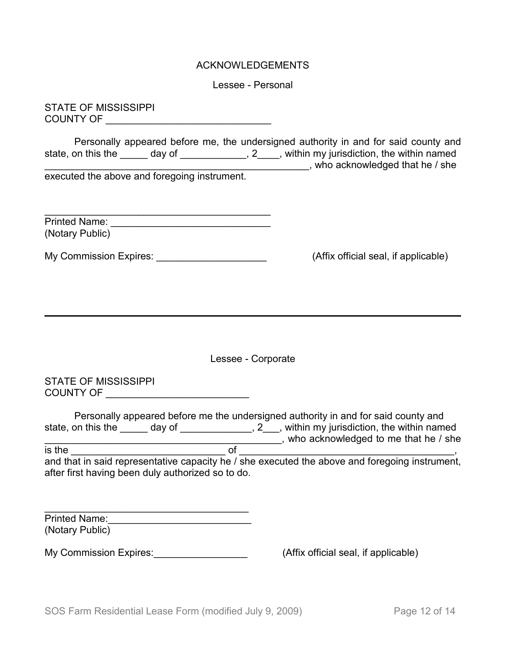## ACKNOWLEDGEMENTS

Lessee - Personal

STATE OF MISSISSIPPI COUNTY OF \_\_\_\_\_\_\_\_\_\_\_\_\_\_\_\_\_\_\_\_\_\_\_\_\_\_\_\_\_\_

Personally appeared before me, the undersigned authority in and for said county and state, on this the \_\_\_\_\_ day of \_\_\_\_\_\_\_\_\_\_\_\_, 2\_\_\_\_, within my jurisdiction, the within named state, on this the \_\_\_\_\_\_ day of \_\_\_\_\_\_\_\_\_\_\_\_\_, 2\_\_\_\_, within my jurisdiction, the within named \_\_\_\_\_\_\_\_\_\_\_\_\_\_\_\_\_\_\_\_\_\_\_\_\_\_\_\_\_\_\_\_\_\_\_\_\_\_\_\_\_\_\_\_\_\_\_\_, who acknowledged that he / she executed the above and foregoing instrument.

| <b>Printed Name:</b> |  |
|----------------------|--|
| (Notary Public)      |  |

My Commission Expires: <u>\_\_\_\_\_\_\_\_\_\_\_\_\_\_\_\_\_\_\_\_\_\_\_\_\_\_\_\_\_\_</u> (Affix official seal, if applicable)

Lessee - Corporate

STATE OF MISSISSIPPI COUNTY OF \_\_\_\_\_\_\_\_\_\_\_\_\_\_\_\_\_\_\_\_\_\_\_\_\_\_

|                    |                                                   | Personally appeared before me the undersigned authority in and for said county and             |
|--------------------|---------------------------------------------------|------------------------------------------------------------------------------------------------|
| state, on this the | day of                                            | , 2, within my jurisdiction, the within named                                                  |
|                    |                                                   | who acknowledged to me that he / she                                                           |
| is the             |                                                   |                                                                                                |
|                    |                                                   | and that in said representative capacity he / she executed the above and foregoing instrument, |
|                    | after first having been duly authorized so to do. |                                                                                                |

| <b>Printed Name:</b> |  |
|----------------------|--|
| (Notary Public)      |  |

My Commission Expires:  $\blacksquare$ 

\_\_\_\_\_\_\_\_\_\_\_\_\_\_\_\_\_\_\_\_\_\_\_\_\_\_\_\_\_\_\_\_\_\_\_\_\_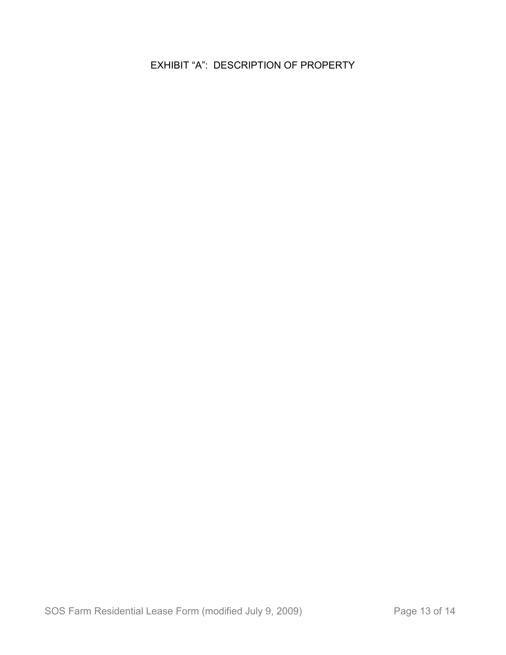EXHIBIT "A": DESCRIPTION OF PROPERTY